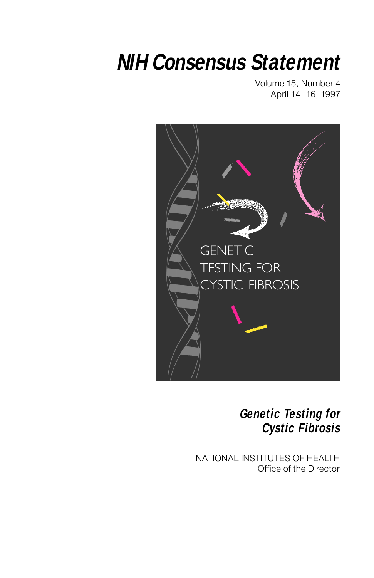# **NIH Consensus Statement**

Volume 15, Number 4 April 14–16, 1997



**Genetic Testing for Cystic Fibrosis** 

NATIONAL INSTITUTES OF HEALTH Office of the Director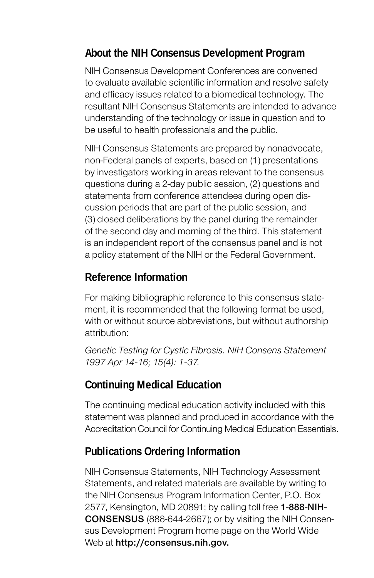### **About the NIH Consensus Development Program**

NIH Consensus Development Conferences are convened to evaluate available scientific information and resolve safety and efficacy issues related to a biomedical technology. The resultant NIH Consensus Statements are intended to advance understanding of the technology or issue in question and to be useful to health professionals and the public.

NIH Consensus Statements are prepared by nonadvocate, non-Federal panels of experts, based on (1) presentations by investigators working in areas relevant to the consensus questions during a 2-day public session, (2) questions and statements from conference attendees during open discussion periods that are part of the public session, and (3) closed deliberations by the panel during the remainder of the second day and morning of the third. This statement is an independent report of the consensus panel and is not a policy statement of the NIH or the Federal Government.

## **Reference Information**

For making bibliographic reference to this consensus statement, it is recommended that the following format be used, with or without source abbreviations, but without authorship attribution:

Genetic Testing for Cystic Fibrosis. NIH Consens Statement 1997 Apr 14-16; 15(4): 1-37.

## **Continuing Medical Education**

The continuing medical education activity included with this statement was planned and produced in accordance with the Accreditation Council for Continuing Medical Education Essentials.

## **Publications Ordering Information**

NIH Consensus Statements, NIH Technology Assessment Statements, and related materials are available by writing to the NIH Consensus Program Information Center, P.O. Box 2577, Kensington, MD 20891; by calling toll free 1-888-NIH-CONSENSUS (888-644-2667); or by visiting the NIH Consensus Development Program home page on the World Wide Web at http://consensus.nih.gov.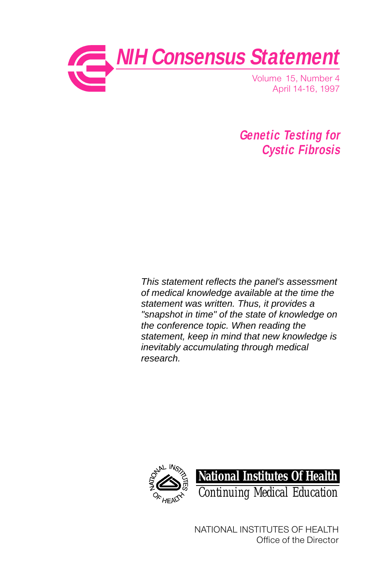

**Genetic Testing for Cystic Fibrosis** 

This statement reflects the panel's assessment of medical knowledge available at the time the statement was written. Thus, it provides a "snapshot in time" of the state of knowledge on the conference topic. When reading the statement, keep in mind that new knowledge is inevitably accumulating through medical research.



NATIONAL INSTITUTES OF HEALTH Office of the Director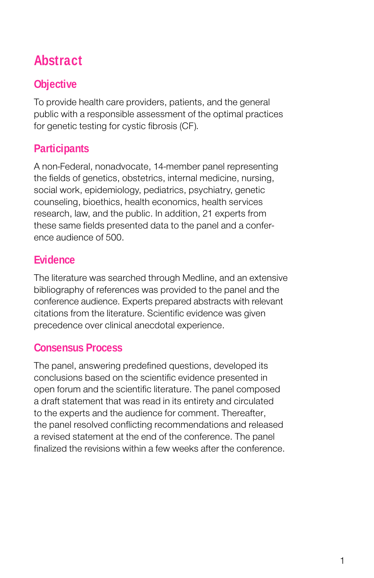## **Abstract**

## **Objective**

To provide health care providers, patients, and the general public with a responsible assessment of the optimal practices for genetic testing for cystic fibrosis (CF).

## **Participants**

A non-Federal, nonadvocate, 14-member panel representing the fields of genetics, obstetrics, internal medicine, nursing, social work, epidemiology, pediatrics, psychiatry, genetic counseling, bioethics, health economics, health services research, law, and the public. In addition, 21 experts from these same fields presented data to the panel and a conference audience of 500.

## **Evidence**

The literature was searched through Medline, and an extensive bibliography of references was provided to the panel and the conference audience. Experts prepared abstracts with relevant citations from the literature. Scientific evidence was given precedence over clinical anecdotal experience.

## **Consensus Process**

The panel, answering predefined questions, developed its conclusions based on the scientific evidence presented in open forum and the scientific literature. The panel composed a draft statement that was read in its entirety and circulated to the experts and the audience for comment. Thereafter, the panel resolved conflicting recommendations and released a revised statement at the end of the conference. The panel finalized the revisions within a few weeks after the conference.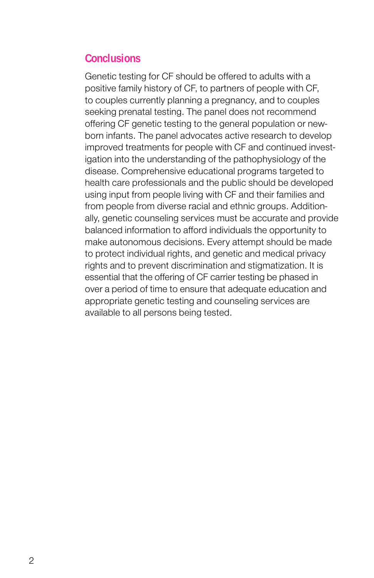### **Conclusions**

Genetic testing for CF should be offered to adults with a positive family history of CF, to partners of people with CF, to couples currently planning a pregnancy, and to couples seeking prenatal testing. The panel does not recommend offering CF genetic testing to the general population or newborn infants. The panel advocates active research to develop improved treatments for people with CF and continued investigation into the understanding of the pathophysiology of the disease. Comprehensive educational programs targeted to health care professionals and the public should be developed using input from people living with CF and their families and from people from diverse racial and ethnic groups. Additionally, genetic counseling services must be accurate and provide balanced information to afford individuals the opportunity to make autonomous decisions. Every attempt should be made to protect individual rights, and genetic and medical privacy rights and to prevent discrimination and stigmatization. It is essential that the offering of CF carrier testing be phased in over a period of time to ensure that adequate education and appropriate genetic testing and counseling services are available to all persons being tested.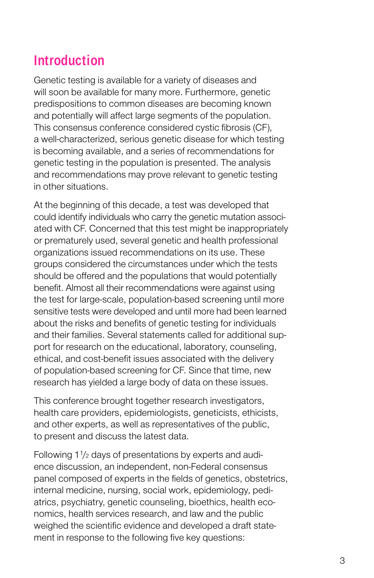## **Introduction**

Genetic testing is available for a variety of diseases and will soon be available for many more. Furthermore, genetic predispositions to common diseases are becoming known and potentially will affect large segments of the population. This consensus conference considered cystic fibrosis (CF), a well-characterized, serious genetic disease for which testing is becoming available, and a series of recommendations for genetic testing in the population is presented. The analysis and recommendations may prove relevant to genetic testing in other situations.

At the beginning of this decade, a test was developed that could identify individuals who carry the genetic mutation associated with CF. Concerned that this test might be inappropriately or prematurely used, several genetic and health professional organizations issued recommendations on its use. These groups considered the circumstances under which the tests should be offered and the populations that would potentially benefit. Almost all their recommendations were against using the test for large-scale, population-based screening until more sensitive tests were developed and until more had been learned about the risks and benefits of genetic testing for individuals and their families. Several statements called for additional support for research on the educational, laboratory, counseling, ethical, and cost-benefit issues associated with the delivery of population-based screening for CF. Since that time, new research has yielded a large body of data on these issues.

This conference brought together research investigators, health care providers, epidemiologists, geneticists, ethicists, and other experts, as well as representatives of the public, to present and discuss the latest data.

Following  $1\frac{1}{2}$  days of presentations by experts and audience discussion, an independent, non-Federal consensus panel composed of experts in the fields of genetics, obstetrics, internal medicine, nursing, social work, epidemiology, pediatrics, psychiatry, genetic counseling, bioethics, health economics, health services research, and law and the public weighed the scientific evidence and developed a draft statement in response to the following five key questions: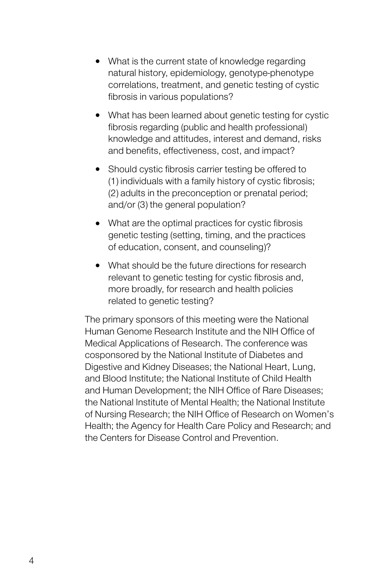- What is the current state of knowledge regarding natural history, epidemiology, genotype-phenotype correlations, treatment, and genetic testing of cystic fibrosis in various populations?
- What has been learned about genetic testing for cystic fibrosis regarding (public and health professional) knowledge and attitudes, interest and demand, risks and benefits, effectiveness, cost, and impact?
- Should cystic fibrosis carrier testing be offered to (1) individuals with a family history of cystic fibrosis; (2) adults in the preconception or prenatal period; and/or (3) the general population?
- What are the optimal practices for cystic fibrosis genetic testing (setting, timing, and the practices of education, consent, and counseling)?
- What should be the future directions for research relevant to genetic testing for cystic fibrosis and, more broadly, for research and health policies related to genetic testing?

The primary sponsors of this meeting were the National Human Genome Research Institute and the NIH Office of Medical Applications of Research. The conference was cosponsored by the National Institute of Diabetes and Digestive and Kidney Diseases; the National Heart, Lung, and Blood Institute; the National Institute of Child Health and Human Development; the NIH Office of Rare Diseases; the National Institute of Mental Health; the National Institute of Nursing Research; the NIH Office of Research on Women's Health; the Agency for Health Care Policy and Research; and the Centers for Disease Control and Prevention.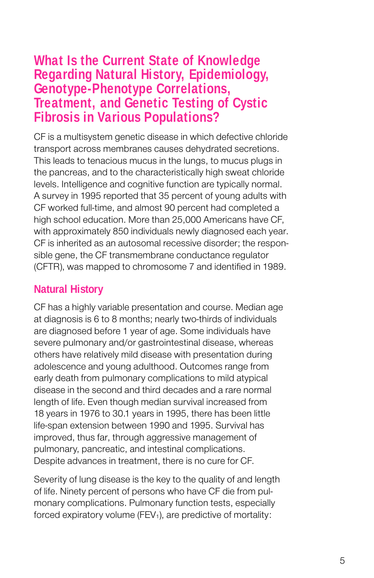## **What Is the Current State of Knowledge Regarding Natural History, Epidemiology, Genotype-Phenotype Correlations, Treatment, and Genetic Testing of Cystic Fibrosis in Various Populations?**

CF is a multisystem genetic disease in which defective chloride transport across membranes causes dehydrated secretions. This leads to tenacious mucus in the lungs, to mucus plugs in the pancreas, and to the characteristically high sweat chloride levels. Intelligence and cognitive function are typically normal. A survey in 1995 reported that 35 percent of young adults with CF worked full-time, and almost 90 percent had completed a high school education. More than 25,000 Americans have CF, with approximately 850 individuals newly diagnosed each year. CF is inherited as an autosomal recessive disorder; the responsible gene, the CF transmembrane conductance regulator (CFTR), was mapped to chromosome 7 and identified in 1989.

### **Natural History**

CF has a highly variable presentation and course. Median age at diagnosis is 6 to 8 months; nearly two-thirds of individuals are diagnosed before 1 year of age. Some individuals have severe pulmonary and/or gastrointestinal disease, whereas others have relatively mild disease with presentation during adolescence and young adulthood. Outcomes range from early death from pulmonary complications to mild atypical disease in the second and third decades and a rare normal length of life. Even though median survival increased from 18 years in 1976 to 30.1 years in 1995, there has been little life-span extension between 1990 and 1995. Survival has improved, thus far, through aggressive management of pulmonary, pancreatic, and intestinal complications. Despite advances in treatment, there is no cure for CF.

Severity of lung disease is the key to the quality of and length of life. Ninety percent of persons who have CF die from pulmonary complications. Pulmonary function tests, especially forced expiratory volume (FEV<sub>1</sub>), are predictive of mortality: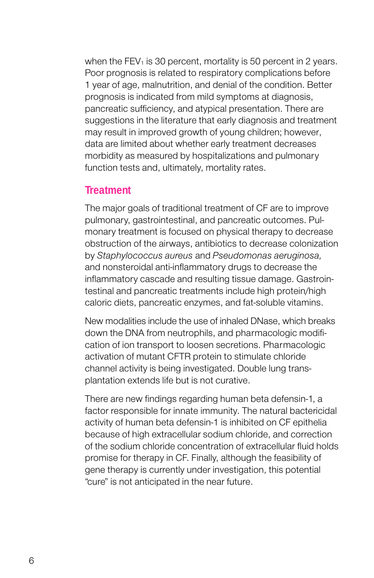when the FEV<sub>1</sub> is 30 percent, mortality is 50 percent in 2 years. Poor prognosis is related to respiratory complications before 1 year of age, malnutrition, and denial of the condition. Better prognosis is indicated from mild symptoms at diagnosis, pancreatic sufficiency, and atypical presentation. There are suggestions in the literature that early diagnosis and treatment may result in improved growth of young children; however, data are limited about whether early treatment decreases morbidity as measured by hospitalizations and pulmonary function tests and, ultimately, mortality rates.

### **Treatment**

The major goals of traditional treatment of CF are to improve pulmonary, gastrointestinal, and pancreatic outcomes. Pulmonary treatment is focused on physical therapy to decrease obstruction of the airways, antibiotics to decrease colonization by Staphylococcus aureus and Pseudomonas aeruginosa, and nonsteroidal anti-inflammatory drugs to decrease the inflammatory cascade and resulting tissue damage. Gastrointestinal and pancreatic treatments include high protein/high caloric diets, pancreatic enzymes, and fat-soluble vitamins.

New modalities include the use of inhaled DNase, which breaks down the DNA from neutrophils, and pharmacologic modification of ion transport to loosen secretions. Pharmacologic activation of mutant CFTR protein to stimulate chloride channel activity is being investigated. Double lung transplantation extends life but is not curative.

There are new findings regarding human beta defensin-1, a factor responsible for innate immunity. The natural bactericidal activity of human beta defensin-1 is inhibited on CF epithelia because of high extracellular sodium chloride, and correction of the sodium chloride concentration of extracellular fluid holds promise for therapy in CF. Finally, although the feasibility of gene therapy is currently under investigation, this potential "cure" is not anticipated in the near future.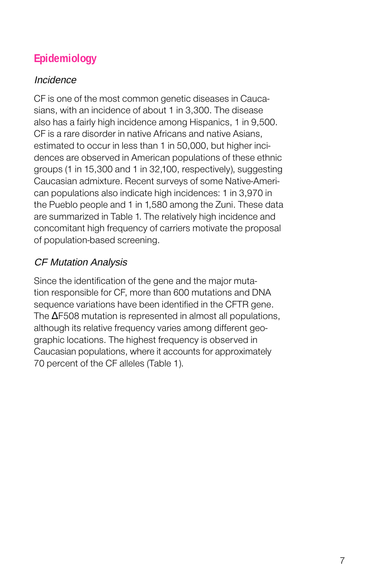## **Epidemiology**

### Incidence

CF is one of the most common genetic diseases in Caucasians, with an incidence of about 1 in 3,300. The disease also has a fairly high incidence among Hispanics, 1 in 9,500. CF is a rare disorder in native Africans and native Asians, estimated to occur in less than 1 in 50,000, but higher incidences are observed in American populations of these ethnic groups (1 in 15,300 and 1 in 32,100, respectively), suggesting Caucasian admixture. Recent surveys of some Native-American populations also indicate high incidences: 1 in 3,970 in the Pueblo people and 1 in 1,580 among the Zuni. These data are summarized in Table 1. The relatively high incidence and concomitant high frequency of carriers motivate the proposal of population-based screening.

### CF Mutation Analysis

Since the identification of the gene and the major mutation responsible for CF, more than 600 mutations and DNA sequence variations have been identified in the CFTR gene. The  $\Delta$  F508 mutation is represented in almost all populations, although its relative frequency varies among different geographic locations. The highest frequency is observed in Caucasian populations, where it accounts for approximately 70 percent of the CF alleles (Table 1).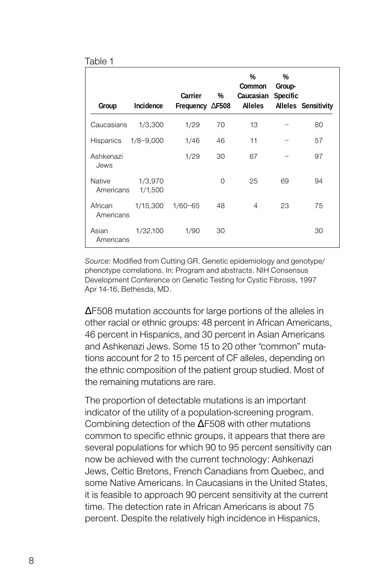| Group                | Incidence          | Carrier<br>Frequency ∆F508 | %  | %<br>Common<br>Caucasian<br><b>Alleles</b> | %<br>Group-<br>Specific | <b>Alleles Sensitivity</b> |
|----------------------|--------------------|----------------------------|----|--------------------------------------------|-------------------------|----------------------------|
| Caucasians           | 1/3,300            | 1/29                       | 70 | 13                                         |                         | 80                         |
| <b>Hispanics</b>     | $1/8 - 9,000$      | 1/46                       | 46 | 11                                         |                         | 57                         |
| Ashkenazi<br>Jews    |                    | 1/29                       | 30 | 67                                         |                         | 97                         |
| Native<br>Americans  | 1/3,970<br>1/1,500 |                            | 0  | 25                                         | 69                      | 94                         |
| African<br>Americans | 1/15,300           | $1/60 - 65$                | 48 | 4                                          | 23                      | 75                         |
| Asian<br>Americans   | 1/32,100           | 1/90                       | 30 |                                            |                         | 30                         |

Table 1

Source: Modified from Cutting GR. Genetic epidemiology and genotype/ phenotype correlations. In: Program and abstracts. NIH Consensus Development Conference on Genetic Testing for Cystic Fibrosis, 1997 Apr 14-16, Bethesda, MD.

 $\Delta$ F508 mutation accounts for large portions of the alleles in other racial or ethnic groups: 48 percent in African Americans, 46 percent in Hispanics, and 30 percent in Asian Americans and Ashkenazi Jews. Some 15 to 20 other "common" mutations account for 2 to 15 percent of CF alleles, depending on the ethnic composition of the patient group studied. Most of the remaining mutations are rare.

The proportion of detectable mutations is an important indicator of the utility of a population-screening program. Combining detection of the Δ F508 with other mutations common to specific ethnic groups, it appears that there are several populations for which 90 to 95 percent sensitivity can now be achieved with the current technology: Ashkenazi Jews, Celtic Bretons, French Canadians from Quebec, and some Native Americans. In Caucasians in the United States, it is feasible to approach 90 percent sensitivity at the current time. The detection rate in African Americans is about 75 percent. Despite the relatively high incidence in Hispanics,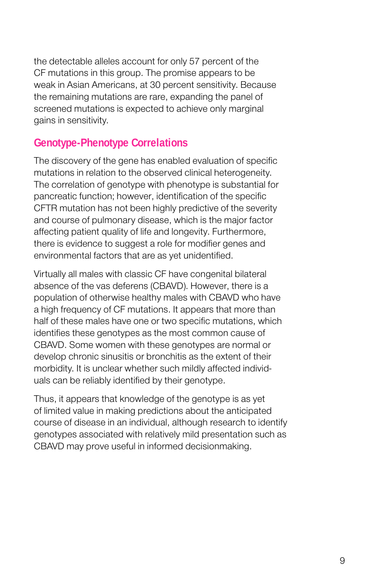the detectable alleles account for only 57 percent of the CF mutations in this group. The promise appears to be weak in Asian Americans, at 30 percent sensitivity. Because the remaining mutations are rare, expanding the panel of screened mutations is expected to achieve only marginal gains in sensitivity.

### **Genotype-Phenotype Correlations**

The discovery of the gene has enabled evaluation of specific mutations in relation to the observed clinical heterogeneity. The correlation of genotype with phenotype is substantial for pancreatic function; however, identification of the specific CFTR mutation has not been highly predictive of the severity and course of pulmonary disease, which is the major factor affecting patient quality of life and longevity. Furthermore, there is evidence to suggest a role for modifier genes and environmental factors that are as yet unidentified.

Virtually all males with classic CF have congenital bilateral absence of the vas deferens (CBAVD). However, there is a population of otherwise healthy males with CBAVD who have a high frequency of CF mutations. It appears that more than half of these males have one or two specific mutations, which identifies these genotypes as the most common cause of CBAVD. Some women with these genotypes are normal or develop chronic sinusitis or bronchitis as the extent of their morbidity. It is unclear whether such mildly affected individuals can be reliably identified by their genotype.

Thus, it appears that knowledge of the genotype is as yet of limited value in making predictions about the anticipated course of disease in an individual, although research to identify genotypes associated with relatively mild presentation such as CBAVD may prove useful in informed decisionmaking.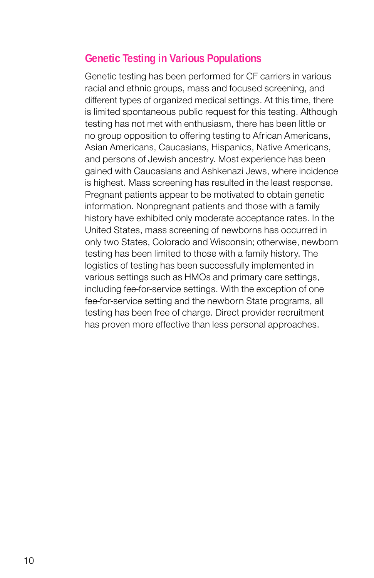### **Genetic Testing in Various Populations**

Genetic testing has been performed for CF carriers in various racial and ethnic groups, mass and focused screening, and different types of organized medical settings. At this time, there is limited spontaneous public request for this testing. Although testing has not met with enthusiasm, there has been little or no group opposition to offering testing to African Americans, Asian Americans, Caucasians, Hispanics, Native Americans, and persons of Jewish ancestry. Most experience has been gained with Caucasians and Ashkenazi Jews, where incidence is highest. Mass screening has resulted in the least response. Pregnant patients appear to be motivated to obtain genetic information. Nonpregnant patients and those with a family history have exhibited only moderate acceptance rates. In the United States, mass screening of newborns has occurred in only two States, Colorado and Wisconsin; otherwise, newborn testing has been limited to those with a family history. The logistics of testing has been successfully implemented in various settings such as HMOs and primary care settings, including fee-for-service settings. With the exception of one fee-for-service setting and the newborn State programs, all testing has been free of charge. Direct provider recruitment has proven more effective than less personal approaches.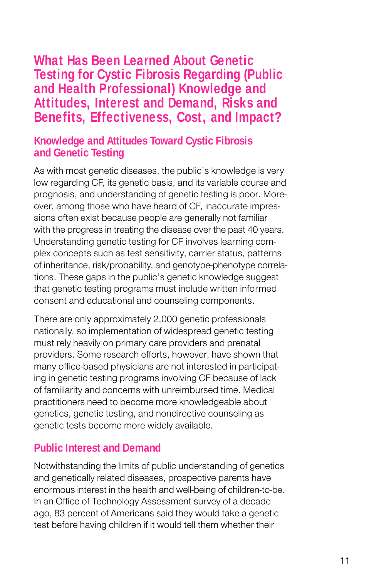## **What Has Been Learned About Genetic Testing for Cystic Fibrosis Regarding (Public and Health Professional) Knowledge and Attitudes, Interest and Demand, Risks and Benefits, Effectiveness, Cost, and Impact?**

### **Knowledge and Attitudes Toward Cystic Fibrosis and Genetic Testing**

As with most genetic diseases, the public's knowledge is very low regarding CF, its genetic basis, and its variable course and prognosis, and understanding of genetic testing is poor. Moreover, among those who have heard of CF, inaccurate impressions often exist because people are generally not familiar with the progress in treating the disease over the past 40 years. Understanding genetic testing for CF involves learning complex concepts such as test sensitivity, carrier status, patterns of inheritance, risk/probability, and genotype-phenotype correlations. These gaps in the public's genetic knowledge suggest that genetic testing programs must include written informed consent and educational and counseling components.

There are only approximately 2,000 genetic professionals nationally, so implementation of widespread genetic testing must rely heavily on primary care providers and prenatal providers. Some research efforts, however, have shown that many office-based physicians are not interested in participating in genetic testing programs involving CF because of lack of familiarity and concerns with unreimbursed time. Medical practitioners need to become more knowledgeable about genetics, genetic testing, and nondirective counseling as genetic tests become more widely available.

### **Public Interest and Demand**

Notwithstanding the limits of public understanding of genetics and genetically related diseases, prospective parents have enormous interest in the health and well-being of children-to-be. In an Office of Technology Assessment survey of a decade ago, 83 percent of Americans said they would take a genetic test before having children if it would tell them whether their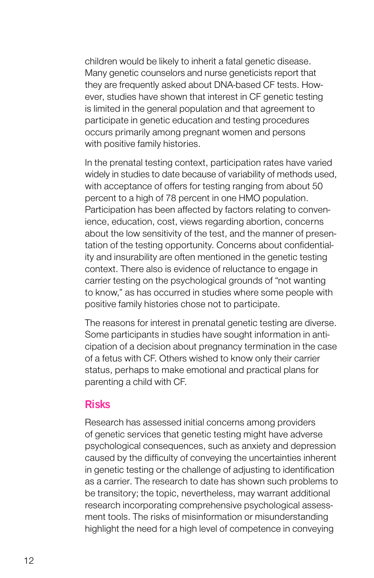children would be likely to inherit a fatal genetic disease. Many genetic counselors and nurse geneticists report that they are frequently asked about DNA-based CF tests. However, studies have shown that interest in CF genetic testing is limited in the general population and that agreement to participate in genetic education and testing procedures occurs primarily among pregnant women and persons with positive family histories.

In the prenatal testing context, participation rates have varied widely in studies to date because of variability of methods used, with acceptance of offers for testing ranging from about 50 percent to a high of 78 percent in one HMO population. Participation has been affected by factors relating to convenience, education, cost, views regarding abortion, concerns about the low sensitivity of the test, and the manner of presentation of the testing opportunity. Concerns about confidentiality and insurability are often mentioned in the genetic testing context. There also is evidence of reluctance to engage in carrier testing on the psychological grounds of "not wanting to know," as has occurred in studies where some people with positive family histories chose not to participate.

The reasons for interest in prenatal genetic testing are diverse. Some participants in studies have sought information in anticipation of a decision about pregnancy termination in the case of a fetus with CF. Others wished to know only their carrier status, perhaps to make emotional and practical plans for parenting a child with CF.

### **Risks**

Research has assessed initial concerns among providers of genetic services that genetic testing might have adverse psychological consequences, such as anxiety and depression caused by the difficulty of conveying the uncertainties inherent in genetic testing or the challenge of adjusting to identification as a carrier. The research to date has shown such problems to be transitory; the topic, nevertheless, may warrant additional research incorporating comprehensive psychological assessment tools. The risks of misinformation or misunderstanding highlight the need for a high level of competence in conveying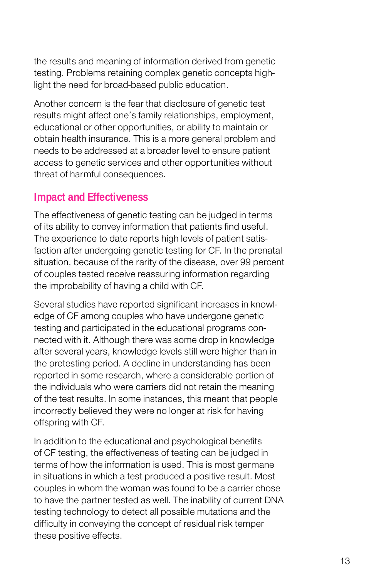the results and meaning of information derived from genetic testing. Problems retaining complex genetic concepts highlight the need for broad-based public education.

Another concern is the fear that disclosure of genetic test results might affect one's family relationships, employment, educational or other opportunities, or ability to maintain or obtain health insurance. This is a more general problem and needs to be addressed at a broader level to ensure patient access to genetic services and other opportunities without threat of harmful consequences.

### **Impact and Effectiveness**

The effectiveness of genetic testing can be judged in terms of its ability to convey information that patients find useful. The experience to date reports high levels of patient satisfaction after undergoing genetic testing for CF. In the prenatal situation, because of the rarity of the disease, over 99 percent of couples tested receive reassuring information regarding the improbability of having a child with CF.

Several studies have reported significant increases in knowledge of CF among couples who have undergone genetic testing and participated in the educational programs connected with it. Although there was some drop in knowledge after several years, knowledge levels still were higher than in the pretesting period. A decline in understanding has been reported in some research, where a considerable portion of the individuals who were carriers did not retain the meaning of the test results. In some instances, this meant that people incorrectly believed they were no longer at risk for having offspring with CF.

In addition to the educational and psychological benefits of CF testing, the effectiveness of testing can be judged in terms of how the information is used. This is most germane in situations in which a test produced a positive result. Most couples in whom the woman was found to be a carrier chose to have the partner tested as well. The inability of current DNA testing technology to detect all possible mutations and the difficulty in conveying the concept of residual risk temper these positive effects.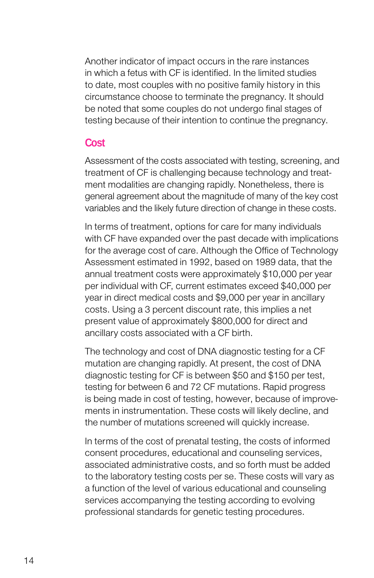Another indicator of impact occurs in the rare instances in which a fetus with CF is identified. In the limited studies to date, most couples with no positive family history in this circumstance choose to terminate the pregnancy. It should be noted that some couples do not undergo final stages of testing because of their intention to continue the pregnancy.

### **Cost**

Assessment of the costs associated with testing, screening, and treatment of CF is challenging because technology and treatment modalities are changing rapidly. Nonetheless, there is general agreement about the magnitude of many of the key cost variables and the likely future direction of change in these costs.

In terms of treatment, options for care for many individuals with CF have expanded over the past decade with implications for the average cost of care. Although the Office of Technology Assessment estimated in 1992, based on 1989 data, that the annual treatment costs were approximately \$10,000 per year per individual with CF, current estimates exceed \$40,000 per year in direct medical costs and \$9,000 per year in ancillary costs. Using a 3 percent discount rate, this implies a net present value of approximately \$800,000 for direct and ancillary costs associated with a CF birth.

The technology and cost of DNA diagnostic testing for a CF mutation are changing rapidly. At present, the cost of DNA diagnostic testing for CF is between \$50 and \$150 per test, testing for between 6 and 72 CF mutations. Rapid progress is being made in cost of testing, however, because of improvements in instrumentation. These costs will likely decline, and the number of mutations screened will quickly increase.

In terms of the cost of prenatal testing, the costs of informed consent procedures, educational and counseling services, associated administrative costs, and so forth must be added to the laboratory testing costs per se. These costs will vary as a function of the level of various educational and counseling services accompanying the testing according to evolving professional standards for genetic testing procedures.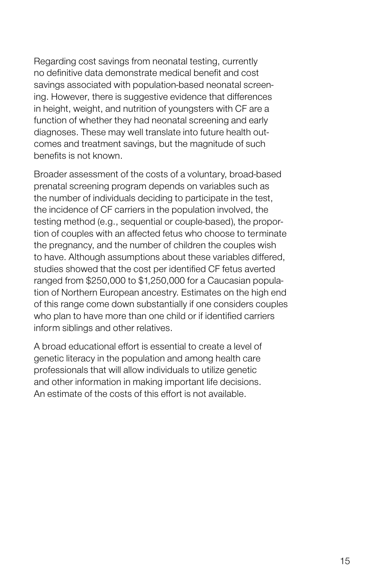Regarding cost savings from neonatal testing, currently no definitive data demonstrate medical benefit and cost savings associated with population-based neonatal screening. However, there is suggestive evidence that differences in height, weight, and nutrition of youngsters with CF are a function of whether they had neonatal screening and early diagnoses. These may well translate into future health outcomes and treatment savings, but the magnitude of such benefits is not known.

Broader assessment of the costs of a voluntary, broad-based prenatal screening program depends on variables such as the number of individuals deciding to participate in the test, the incidence of CF carriers in the population involved, the testing method (e.g., sequential or couple-based), the proportion of couples with an affected fetus who choose to terminate the pregnancy, and the number of children the couples wish to have. Although assumptions about these variables differed, studies showed that the cost per identified CF fetus averted ranged from \$250,000 to \$1,250,000 for a Caucasian population of Northern European ancestry. Estimates on the high end of this range come down substantially if one considers couples who plan to have more than one child or if identified carriers inform siblings and other relatives.

A broad educational effort is essential to create a level of genetic literacy in the population and among health care professionals that will allow individuals to utilize genetic and other information in making important life decisions. An estimate of the costs of this effort is not available.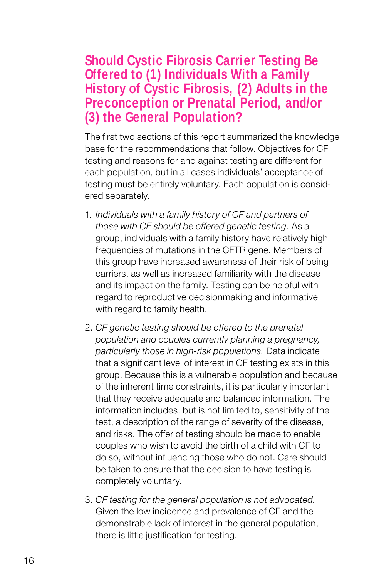## **Should Cystic Fibrosis Carrier Testing Be Offered to (1) Individuals With a Family History of Cystic Fibrosis, (2) Adults in the Preconception or Prenatal Period, and/or (3) the General Population?**

The first two sections of this report summarized the knowledge base for the recommendations that follow. Objectives for CF testing and reasons for and against testing are different for each population, but in all cases individuals' acceptance of testing must be entirely voluntary. Each population is considered separately.

- 1. Individuals with a family history of CF and partners of those with CF should be offered genetic testing. As a group, individuals with a family history have relatively high frequencies of mutations in the CFTR gene. Members of this group have increased awareness of their risk of being carriers, as well as increased familiarity with the disease and its impact on the family. Testing can be helpful with regard to reproductive decisionmaking and informative with regard to family health.
- 2. CF genetic testing should be offered to the prenatal population and couples currently planning a pregnancy, particularly those in high-risk populations. Data indicate that a significant level of interest in CF testing exists in this group. Because this is a vulnerable population and because of the inherent time constraints, it is particularly important that they receive adequate and balanced information. The information includes, but is not limited to, sensitivity of the test, a description of the range of severity of the disease, and risks. The offer of testing should be made to enable couples who wish to avoid the birth of a child with CF to do so, without influencing those who do not. Care should be taken to ensure that the decision to have testing is completely voluntary.
- 3. CF testing for the general population is not advocated. Given the low incidence and prevalence of CF and the demonstrable lack of interest in the general population, there is little justification for testing.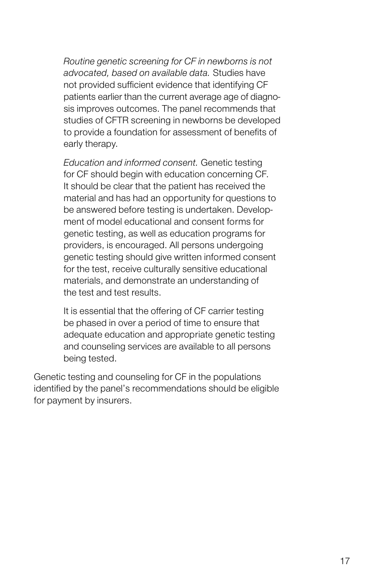Routine genetic screening for CF in newborns is not advocated, based on available data. Studies have not provided sufficient evidence that identifying CF patients earlier than the current average age of diagnosis improves outcomes. The panel recommends that studies of CFTR screening in newborns be developed to provide a foundation for assessment of benefits of early therapy.

Education and informed consent. Genetic testing for CF should begin with education concerning CF. It should be clear that the patient has received the material and has had an opportunity for questions to be answered before testing is undertaken. Development of model educational and consent forms for genetic testing, as well as education programs for providers, is encouraged. All persons undergoing genetic testing should give written informed consent for the test, receive culturally sensitive educational materials, and demonstrate an understanding of the test and test results.

It is essential that the offering of CF carrier testing be phased in over a period of time to ensure that adequate education and appropriate genetic testing and counseling services are available to all persons being tested.

Genetic testing and counseling for CF in the populations identified by the panel's recommendations should be eligible for payment by insurers.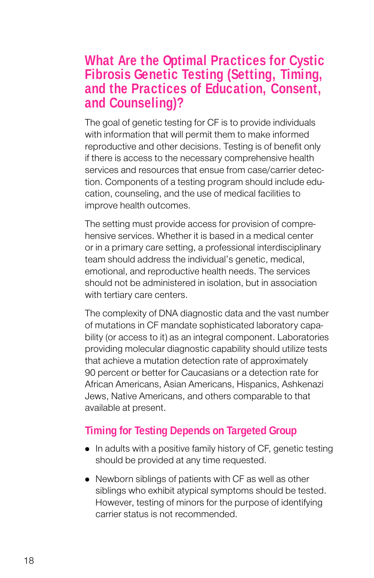## **What Are the Optimal Practices for Cystic Fibrosis Genetic Testing (Setting, Timing, and the Practices of Education, Consent, and Counseling)?**

The goal of genetic testing for CF is to provide individuals with information that will permit them to make informed reproductive and other decisions. Testing is of benefit only if there is access to the necessary comprehensive health services and resources that ensue from case/carrier detection. Components of a testing program should include education, counseling, and the use of medical facilities to improve health outcomes.

The setting must provide access for provision of comprehensive services. Whether it is based in a medical center or in a primary care setting, a professional interdisciplinary team should address the individual's genetic, medical, emotional, and reproductive health needs. The services should not be administered in isolation, but in association with tertiary care centers.

The complexity of DNA diagnostic data and the vast number of mutations in CF mandate sophisticated laboratory capability (or access to it) as an integral component. Laboratories providing molecular diagnostic capability should utilize tests that achieve a mutation detection rate of approximately 90 percent or better for Caucasians or a detection rate for African Americans, Asian Americans, Hispanics, Ashkenazi Jews, Native Americans, and others comparable to that available at present.

### **Timing for Testing Depends on Targeted Group**

- In adults with a positive family history of CF, genetic testing should be provided at any time requested.
- Newborn siblings of patients with CF as well as other siblings who exhibit atypical symptoms should be tested. However, testing of minors for the purpose of identifying carrier status is not recommended.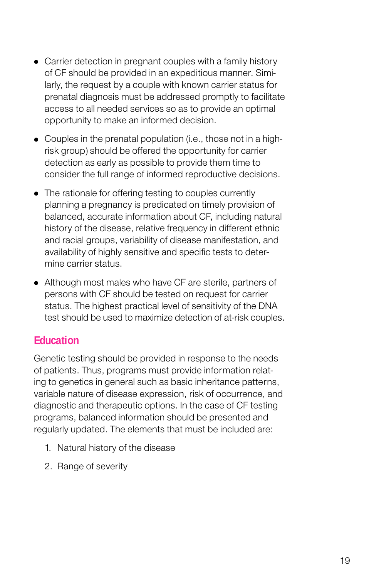- Carrier detection in pregnant couples with a family history of CF should be provided in an expeditious manner. Similarly, the request by a couple with known carrier status for prenatal diagnosis must be addressed promptly to facilitate access to all needed services so as to provide an optimal opportunity to make an informed decision.
- $\bullet$  Couples in the prenatal population (i.e., those not in a highrisk group) should be offered the opportunity for carrier detection as early as possible to provide them time to consider the full range of informed reproductive decisions.
- The rationale for offering testing to couples currently planning a pregnancy is predicated on timely provision of balanced, accurate information about CF, including natural history of the disease, relative frequency in different ethnic and racial groups, variability of disease manifestation, and availability of highly sensitive and specific tests to determine carrier status.
- Although most males who have CF are sterile, partners of persons with CF should be tested on request for carrier status. The highest practical level of sensitivity of the DNA test should be used to maximize detection of at-risk couples.

### **Education**

Genetic testing should be provided in response to the needs of patients. Thus, programs must provide information relating to genetics in general such as basic inheritance patterns, variable nature of disease expression, risk of occurrence, and diagnostic and therapeutic options. In the case of CF testing programs, balanced information should be presented and regularly updated. The elements that must be included are:

- 1. Natural history of the disease
- 2. Range of severity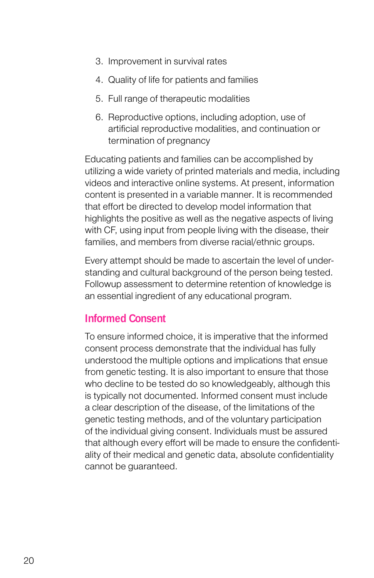- 3. Improvement in survival rates
- 4. Quality of life for patients and families
- 5. Full range of therapeutic modalities
- 6. Reproductive options, including adoption, use of artificial reproductive modalities, and continuation or termination of pregnancy

Educating patients and families can be accomplished by utilizing a wide variety of printed materials and media, including videos and interactive online systems. At present, information content is presented in a variable manner. It is recommended that effort be directed to develop model information that highlights the positive as well as the negative aspects of living with CF, using input from people living with the disease, their families, and members from diverse racial/ethnic groups.

Every attempt should be made to ascertain the level of understanding and cultural background of the person being tested. Followup assessment to determine retention of knowledge is an essential ingredient of any educational program.

### **Informed Consent**

To ensure informed choice, it is imperative that the informed consent process demonstrate that the individual has fully understood the multiple options and implications that ensue from genetic testing. It is also important to ensure that those who decline to be tested do so knowledgeably, although this is typically not documented. Informed consent must include a clear description of the disease, of the limitations of the genetic testing methods, and of the voluntary participation of the individual giving consent. Individuals must be assured that although every effort will be made to ensure the confidentiality of their medical and genetic data, absolute confidentiality cannot be guaranteed.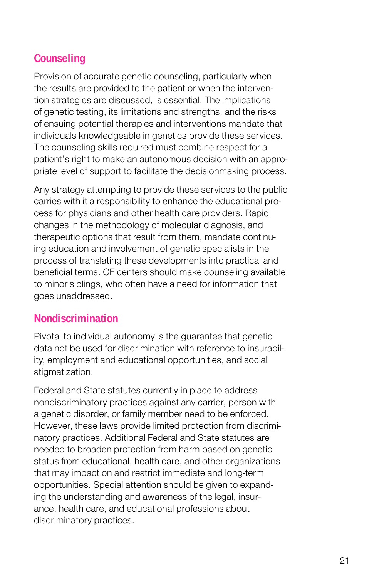## **Counseling**

Provision of accurate genetic counseling, particularly when the results are provided to the patient or when the intervention strategies are discussed, is essential. The implications of genetic testing, its limitations and strengths, and the risks of ensuing potential therapies and interventions mandate that individuals knowledgeable in genetics provide these services. The counseling skills required must combine respect for a patient's right to make an autonomous decision with an appropriate level of support to facilitate the decisionmaking process.

Any strategy attempting to provide these services to the public carries with it a responsibility to enhance the educational process for physicians and other health care providers. Rapid changes in the methodology of molecular diagnosis, and therapeutic options that result from them, mandate continuing education and involvement of genetic specialists in the process of translating these developments into practical and beneficial terms. CF centers should make counseling available to minor siblings, who often have a need for information that goes unaddressed.

### **Nondiscrimination**

Pivotal to individual autonomy is the guarantee that genetic data not be used for discrimination with reference to insurability, employment and educational opportunities, and social stigmatization.

Federal and State statutes currently in place to address nondiscriminatory practices against any carrier, person with a genetic disorder, or family member need to be enforced. However, these laws provide limited protection from discriminatory practices. Additional Federal and State statutes are needed to broaden protection from harm based on genetic status from educational, health care, and other organizations that may impact on and restrict immediate and long-term opportunities. Special attention should be given to expanding the understanding and awareness of the legal, insurance, health care, and educational professions about discriminatory practices.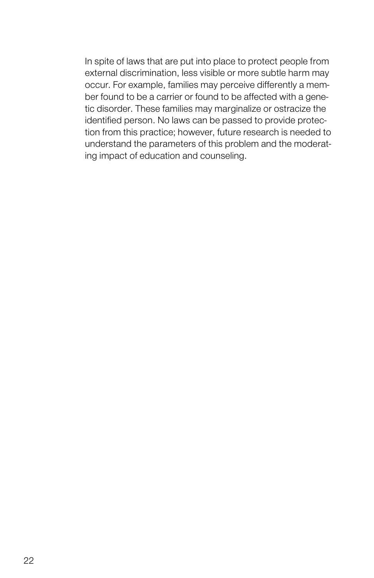In spite of laws that are put into place to protect people from external discrimination, less visible or more subtle harm may occur. For example, families may perceive differently a member found to be a carrier or found to be affected with a genetic disorder. These families may marginalize or ostracize the identified person. No laws can be passed to provide protection from this practice; however, future research is needed to understand the parameters of this problem and the moderating impact of education and counseling.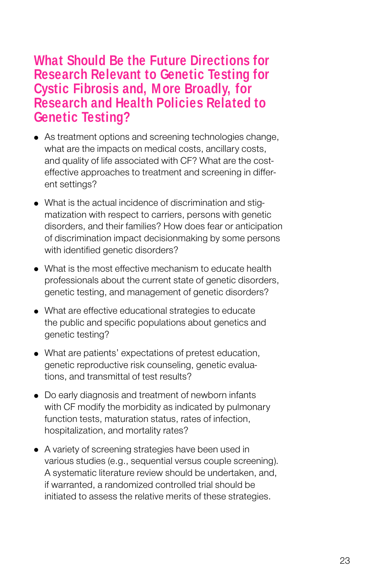## **What Should Be the Future Directions for Research Relevant to Genetic Testing for Cystic Fibrosis and, More Broadly, for Research and Health Policies Related to Genetic Testing?**

- As treatment options and screening technologies change, what are the impacts on medical costs, ancillary costs, and quality of life associated with CF? What are the costeffective approaches to treatment and screening in different settings?
- What is the actual incidence of discrimination and stigmatization with respect to carriers, persons with genetic disorders, and their families? How does fear or anticipation of discrimination impact decisionmaking by some persons with identified genetic disorders?
- What is the most effective mechanism to educate health professionals about the current state of genetic disorders, genetic testing, and management of genetic disorders?
- What are effective educational strategies to educate the public and specific populations about genetics and genetic testing?
- What are patients' expectations of pretest education, genetic reproductive risk counseling, genetic evaluations, and transmittal of test results?
- Do early diagnosis and treatment of newborn infants with CF modify the morbidity as indicated by pulmonary function tests, maturation status, rates of infection, hospitalization, and mortality rates?
- A variety of screening strategies have been used in various studies (e.g., sequential versus couple screening). A systematic literature review should be undertaken, and, if warranted, a randomized controlled trial should be initiated to assess the relative merits of these strategies.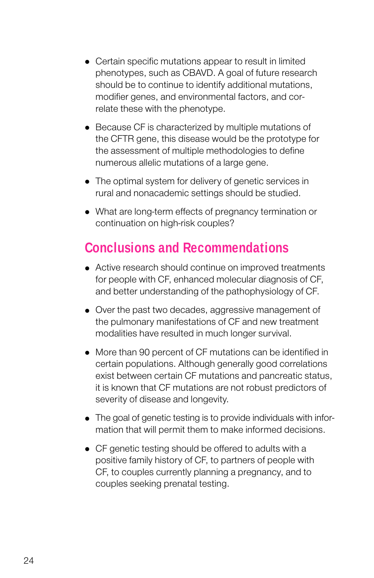- Certain specific mutations appear to result in limited phenotypes, such as CBAVD. A goal of future research should be to continue to identify additional mutations, modifier genes, and environmental factors, and correlate these with the phenotype.
- ● Because CF is characterized by multiple mutations of the CFTR gene, this disease would be the prototype for the assessment of multiple methodologies to define numerous allelic mutations of a large gene.
- The optimal system for delivery of genetic services in rural and nonacademic settings should be studied.
- What are long-term effects of pregnancy termination or continuation on high-risk couples?

## **Conclusions and Recommendations**

- Active research should continue on improved treatments for people with CF, enhanced molecular diagnosis of CF, and better understanding of the pathophysiology of CF.
- Over the past two decades, aggressive management of the pulmonary manifestations of CF and new treatment modalities have resulted in much longer survival.
- More than 90 percent of CF mutations can be identified in certain populations. Although generally good correlations exist between certain CF mutations and pancreatic status, it is known that CF mutations are not robust predictors of severity of disease and longevity.
- The goal of genetic testing is to provide individuals with information that will permit them to make informed decisions.
- CF genetic testing should be offered to adults with a positive family history of CF, to partners of people with CF, to couples currently planning a pregnancy, and to couples seeking prenatal testing.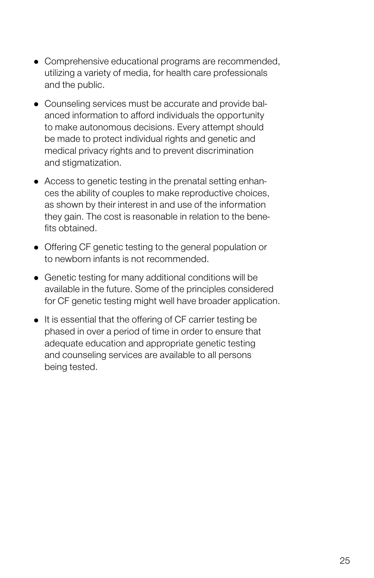- Comprehensive educational programs are recommended, utilizing a variety of media, for health care professionals and the public.
- Counseling services must be accurate and provide balanced information to afford individuals the opportunity to make autonomous decisions. Every attempt should be made to protect individual rights and genetic and medical privacy rights and to prevent discrimination and stigmatization.
- Access to genetic testing in the prenatal setting enhances the ability of couples to make reproductive choices, as shown by their interest in and use of the information they gain. The cost is reasonable in relation to the benefits obtained.
- ● Offering CF genetic testing to the general population or to newborn infants is not recommended.
- Genetic testing for many additional conditions will be available in the future. Some of the principles considered for CF genetic testing might well have broader application.
- It is essential that the offering of CF carrier testing be phased in over a period of time in order to ensure that adequate education and appropriate genetic testing and counseling services are available to all persons being tested.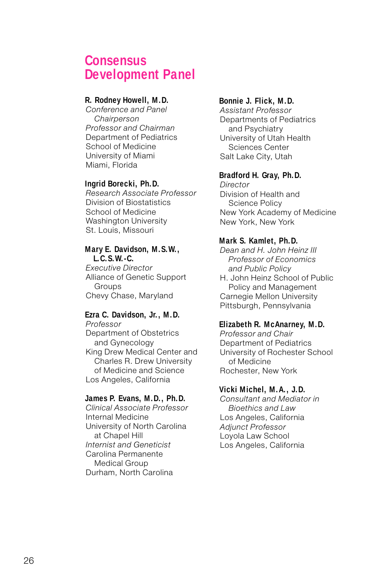### **Consensus Development Panel**

#### **R. Rodney Howell, M.D.**

Conference and Panel **Chairperson** Professor and Chairman Department of Pediatrics School of Medicine University of Miami Miami, Florida

#### **Ingrid Borecki, Ph.D.**

Research Associate Professor Division of Biostatistics School of Medicine Washington University St. Louis, Missouri

#### **Mary E. Davidson, M.S.W., L.C.S.W.-C.**

Executive Director Alliance of Genetic Support **Groups** Chevy Chase, Maryland

#### **Ezra C. Davidson, Jr., M.D.**

Professor Department of Obstetrics and Gynecology King Drew Medical Center and Charles R. Drew University of Medicine and Science Los Angeles, California

#### **James P. Evans, M.D., Ph.D.**

Clinical Associate Professor Internal Medicine University of North Carolina at Chapel Hill Internist and Geneticist Carolina Permanente Medical Group Durham, North Carolina

#### **Bonnie J. Flick, M.D.**

Assistant Professor Departments of Pediatrics and Psychiatry University of Utah Health Sciences Center Salt Lake City, Utah

#### **Bradford H. Gray, Ph.D.**

**Director** Division of Health and Science Policy New York Academy of Medicine New York, New York

#### **Mark S. Kamlet, Ph.D.**

Dean and H. John Heinz III Professor of Economics and Public Policy

H. John Heinz School of Public Policy and Management Carnegie Mellon University Pittsburgh, Pennsylvania

#### **Elizabeth R. McAnarney, M.D.**

Professor and Chair Department of Pediatrics University of Rochester School of Medicine Rochester, New York

#### **Vicki Michel, M.A., J.D.**

Consultant and Mediator in Bioethics and Law Los Angeles, California Adjunct Professor Loyola Law School Los Angeles, California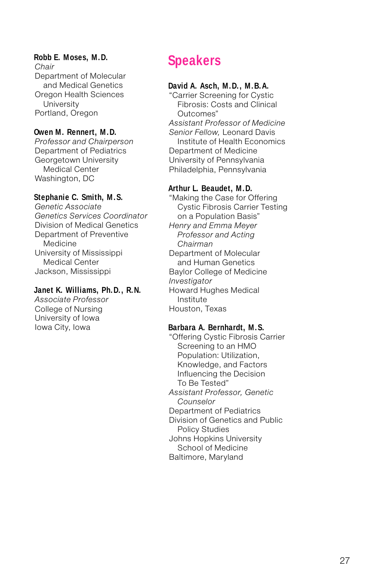#### **Robb E. Moses, M.D.**

Chair Department of Molecular and Medical Genetics Oregon Health Sciences University Portland, Oregon

#### **Owen M. Rennert, M.D.**

Professor and Chairperson Department of Pediatrics Georgetown University Medical Center Washington, DC

#### **Stephanie C. Smith, M.S.**

Genetic Associate Genetics Services Coordinator Division of Medical Genetics Department of Preventive Medicine University of Mississippi Medical Center Jackson, Mississippi

#### **Janet K. Williams, Ph.D., R.N.**

Associate Professor College of Nursing University of Iowa Iowa City, Iowa

## **Speakers**

#### **David A. Asch, M.D., M.B.A.**

"Carrier Screening for Cystic Fibrosis: Costs and Clinical Outcomes"

Assistant Professor of Medicine Senior Fellow, Leonard Davis Institute of Health Economics

Department of Medicine University of Pennsylvania Philadelphia, Pennsylvania

#### **Arthur L. Beaudet, M.D.**

"Making the Case for Offering Cystic Fibrosis Carrier Testing on a Population Basis" Henry and Emma Meyer Professor and Acting Chairman Department of Molecular and Human Genetics Baylor College of Medicine Investigator Howard Hughes Medical Institute Houston, Texas

#### **Barbara A. Bernhardt, M.S.**

"Offering Cystic Fibrosis Carrier Screening to an HMO Population: Utilization, Knowledge, and Factors Influencing the Decision To Be Tested" Assistant Professor, Genetic Counselor Department of Pediatrics Division of Genetics and Public Policy Studies Johns Hopkins University School of Medicine Baltimore, Maryland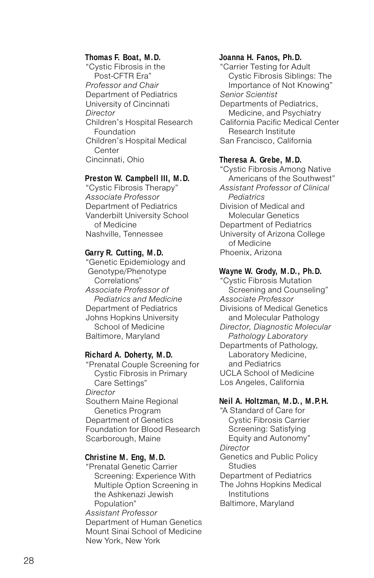#### **Thomas F. Boat, M.D.**

"Cystic Fibrosis in the Post-CFTR Era" Professor and Chair Department of Pediatrics University of Cincinnati **Director** Children's Hospital Research Foundation Children's Hospital Medical Center Cincinnati, Ohio

#### **Preston W. Campbell III, M.D.**

"Cystic Fibrosis Therapy" Associate Professor Department of Pediatrics Vanderbilt University School of Medicine Nashville, Tennessee

#### **Garry R. Cutting, M.D.**

"Genetic Epidemiology and Genotype/Phenotype Correlations" Associate Professor of Pediatrics and Medicine Department of Pediatrics Johns Hopkins University School of Medicine Baltimore, Maryland

#### **Richard A. Doherty, M.D.**

"Prenatal Couple Screening for Cystic Fibrosis in Primary Care Settings" **Director** Southern Maine Regional Genetics Program Department of Genetics Foundation for Blood Research Scarborough, Maine

#### **Christine M. Eng, M.D.**

"Prenatal Genetic Carrier Screening: Experience With Multiple Option Screening in the Ashkenazi Jewish Population"

Assistant Professor Department of Human Genetics Mount Sinai School of Medicine New York, New York

#### **Joanna H. Fanos, Ph.D.**

"Carrier Testing for Adult Cystic Fibrosis Siblings: The Importance of Not Knowing" Senior Scientist Departments of Pediatrics, Medicine, and Psychiatry

California Pacific Medical Center Research Institute San Francisco, California

#### **Theresa A. Grebe, M.D.**

"Cystic Fibrosis Among Native Americans of the Southwest" Assistant Professor of Clinical **Pediatrics** Division of Medical and Molecular Genetics Department of Pediatrics University of Arizona College of Medicine Phoenix, Arizona

#### **Wayne W. Grody, M.D., Ph.D.**

"Cystic Fibrosis Mutation Screening and Counseling" Associate Professor Divisions of Medical Genetics and Molecular Pathology Director, Diagnostic Molecular Pathology Laboratory Departments of Pathology, Laboratory Medicine, and Pediatrics UCLA School of Medicine Los Angeles, California

#### **Neil A. Holtzman, M.D., M.P.H.**

"A Standard of Care for Cystic Fibrosis Carrier Screening: Satisfying Equity and Autonomy" **Director** Genetics and Public Policy Studies Department of Pediatrics The Johns Hopkins Medical Institutions Baltimore, Maryland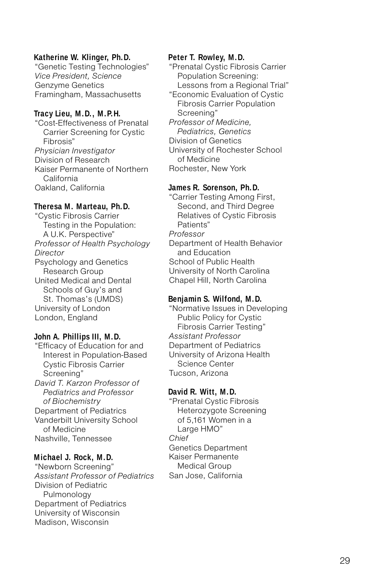#### **Katherine W. Klinger, Ph.D.**

"Genetic Testing Technologies" Vice President, Science Genzyme Genetics Framingham, Massachusetts

#### **Tracy Lieu, M.D., M.P.H.**

"Cost-Effectiveness of Prenatal Carrier Screening for Cystic Fibrosis" Physician Investigator Division of Research Kaiser Permanente of Northern California Oakland, California

#### **Theresa M. Marteau, Ph.D.**

"Cystic Fibrosis Carrier Testing in the Population: A U.K. Perspective" Professor of Health Psychology **Director** Psychology and Genetics Research Group United Medical and Dental Schools of Guy's and St. Thomas's (UMDS) University of London London, England

#### **John A. Phillips III, M.D.**

"Efficacy of Education for and Interest in Population-Based Cystic Fibrosis Carrier Screening" David T. Karzon Professor of Pediatrics and Professor of Biochemistry Department of Pediatrics Vanderbilt University School of Medicine Nashville, Tennessee

#### **Michael J. Rock, M.D.**

"Newborn Screening" Assistant Professor of Pediatrics Division of Pediatric Pulmonology Department of Pediatrics University of Wisconsin Madison, Wisconsin

#### **Peter T. Rowley, M.D.**

"Prenatal Cystic Fibrosis Carrier Population Screening: Lessons from a Regional Trial" "Economic Evaluation of Cystic Fibrosis Carrier Population Screening" Professor of Medicine,

Pediatrics, Genetics Division of Genetics

University of Rochester School of Medicine Rochester, New York

#### **James R. Sorenson, Ph.D.**

"Carrier Testing Among First, Second, and Third Degree Relatives of Cystic Fibrosis Patients" Professor Department of Health Behavior and Education School of Public Health University of North Carolina

Chapel Hill, North Carolina

#### **Benjamin S. Wilfond, M.D.**

"Normative Issues in Developing Public Policy for Cystic Fibrosis Carrier Testing" Assistant Professor Department of Pediatrics University of Arizona Health Science Center Tucson, Arizona

#### **David R. Witt, M.D.**

"Prenatal Cystic Fibrosis Heterozygote Screening of 5,161 Women in a Large HMO" Chief Genetics Department Kaiser Permanente Medical Group San Jose, California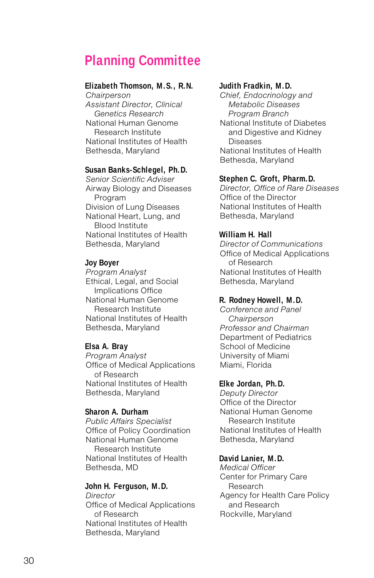## **Planning Committee**

#### **Elizabeth Thomson, M.S., R.N.**

**Chairperson** Assistant Director, Clinical Genetics Research National Human Genome Research Institute National Institutes of Health Bethesda, Maryland

#### **Susan Banks-Schlegel, Ph.D.**

Senior Scientific Adviser Airway Biology and Diseases Program Division of Lung Diseases National Heart, Lung, and Blood Institute National Institutes of Health Bethesda, Maryland

#### **Joy Boyer**

Program Analyst Ethical, Legal, and Social Implications Office National Human Genome Research Institute National Institutes of Health Bethesda, Maryland

#### **Elsa A. Bray**

Program Analyst Office of Medical Applications of Research National Institutes of Health Bethesda, Maryland

#### **Sharon A. Durham**

Public Affairs Specialist Office of Policy Coordination National Human Genome Research Institute National Institutes of Health Bethesda, MD

#### **John H. Ferguson, M.D.**

**Director** Office of Medical Applications of Research National Institutes of Health Bethesda, Maryland

#### **Judith Fradkin, M.D.**

Chief, Endocrinology and Metabolic Diseases Program Branch

National Institute of Diabetes and Digestive and Kidney Diseases National Institutes of Health Bethesda, Maryland

#### **Stephen C. Groft, Pharm.D.**

Director, Office of Rare Diseases Office of the Director National Institutes of Health Bethesda, Maryland

#### **William H. Hall**

Director of Communications Office of Medical Applications of Research National Institutes of Health Bethesda, Maryland

#### **R. Rodney Howell, M.D.**

Conference and Panel **Chairperson** Professor and Chairman Department of Pediatrics School of Medicine University of Miami Miami, Florida

#### **Elke Jordan, Ph.D.**

Deputy Director Office of the Director National Human Genome Research Institute National Institutes of Health Bethesda, Maryland

#### **David Lanier, M.D.**

Medical Officer Center for Primary Care Research Agency for Health Care Policy and Research Rockville, Maryland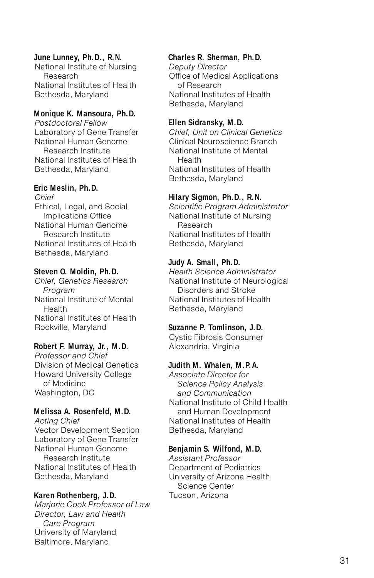#### **June Lunney, Ph.D., R.N.**

National Institute of Nursing Research National Institutes of Health Bethesda, Maryland

#### **Monique K. Mansoura, Ph.D.**

Postdoctoral Fellow Laboratory of Gene Transfer National Human Genome Research Institute National Institutes of Health Bethesda, Maryland

#### **Eric Meslin, Ph.D.**

Chief Ethical, Legal, and Social Implications Office National Human Genome Research Institute National Institutes of Health Bethesda, Maryland

#### **Steven O. Moldin, Ph.D.**

Chief, Genetics Research Program National Institute of Mental Health National Institutes of Health Rockville, Maryland

#### **Robert F. Murray, Jr., M.D.**

Professor and Chief Division of Medical Genetics Howard University College of Medicine Washington, DC

#### **Melissa A. Rosenfeld, M.D.**

Acting Chief Vector Development Section Laboratory of Gene Transfer National Human Genome Research Institute National Institutes of Health Bethesda, Maryland

#### **Karen Rothenberg, J.D.**

Marjorie Cook Professor of Law Director, Law and Health Care Program University of Maryland Baltimore, Maryland

#### **Charles R. Sherman, Ph.D.**

Deputy Director Office of Medical Applications of Research National Institutes of Health Bethesda, Maryland

#### **Ellen Sidransky, M.D.**

Chief, Unit on Clinical Genetics Clinical Neuroscience Branch National Institute of Mental Health National Institutes of Health Bethesda, Maryland

#### **Hilary Sigmon, Ph.D., R.N.**

Scientific Program Administrator National Institute of Nursing Research National Institutes of Health Bethesda, Maryland

#### **Judy A. Small, Ph.D.**

Health Science Administrator National Institute of Neurological Disorders and Stroke National Institutes of Health Bethesda, Maryland

#### **Suzanne P. Tomlinson, J.D.**

Cystic Fibrosis Consumer Alexandria, Virginia

#### **Judith M. Whalen, M.P.A.**

Associate Director for Science Policy Analysis and Communication National Institute of Child Health and Human Development National Institutes of Health Bethesda, Maryland

#### **Benjamin S. Wilfond, M.D.**

Assistant Professor Department of Pediatrics University of Arizona Health Science Center Tucson, Arizona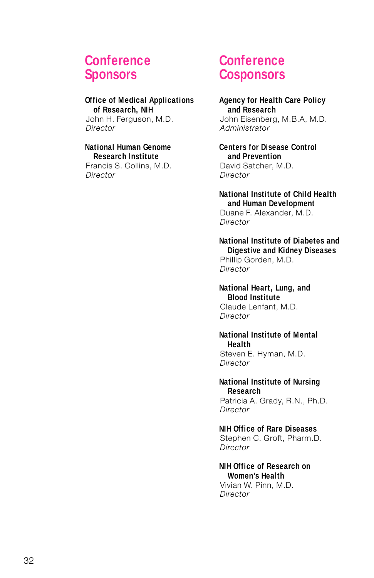## **Conference Sponsors**

#### **Office of Medical Applications of Research, NIH**

John H. Ferguson, M.D. **Director** 

#### **National Human Genome Research Institute**

Francis S. Collins, M.D. **Director** 

## **Conference Cosponsors**

#### **Agency for Health Care Policy and Research**

John Eisenberg, M.B.A, M.D. Administrator

#### **Centers for Disease Control and Prevention**

David Satcher, M.D. **Director** 

#### **National Institute of Child Health and Human Development**

Duane F. Alexander, M.D. **Director** 

#### **National Institute of Diabetes and Digestive and Kidney Diseases**  Phillip Gorden, M.D.

**Director** 

#### **National Heart, Lung, and Blood Institute**

Claude Lenfant, M.D. **Director** 

#### **National Institute of Mental Health**

Steven E. Hyman, M.D. **Director** 

#### **National Institute of Nursing Research**

Patricia A. Grady, R.N., Ph.D. **Director** 

#### **NIH Office of Rare Diseases**

Stephen C. Groft, Pharm.D. **Director** 

#### **NIH Office of Research on Women's Health**

Vivian W. Pinn, M.D. **Director**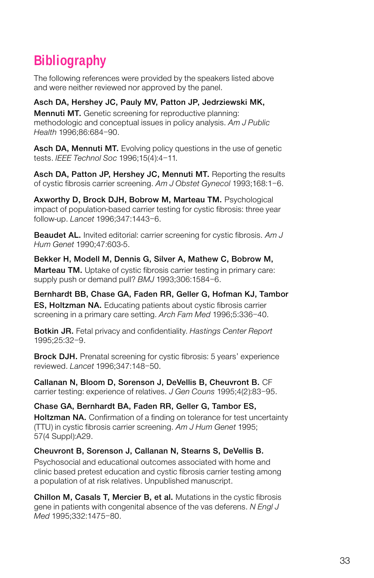## **Bibliography**

The following references were provided by the speakers listed above and were neither reviewed nor approved by the panel.

#### Asch DA, Hershey JC, Pauly MV, Patton JP, Jedrziewski MK,

Mennuti MT. Genetic screening for reproductive planning: methodologic and conceptual issues in policy analysis. Am J Public Health 1996;86:684–90.

Asch DA, Mennuti MT. Evolving policy questions in the use of genetic tests. IEEE Technol Soc 1996;15(4):4–11.

Asch DA, Patton JP, Hershey JC, Mennuti MT. Reporting the results of cystic fibrosis carrier screening. Am J Obstet Gynecol 1993;168:1–6.

Axworthy D, Brock DJH, Bobrow M, Marteau TM. Psychological impact of population-based carrier testing for cystic fibrosis: three year follow-up. Lancet 1996;347:1443–6.

Beaudet AL. Invited editorial: carrier screening for cystic fibrosis. Am J Hum Genet 1990;47:603-5.

Bekker H, Modell M, Dennis G, Silver A, Mathew C, Bobrow M, Marteau TM. Uptake of cystic fibrosis carrier testing in primary care: supply push or demand pull? BMJ 1993;306:1584-6.

Bernhardt BB, Chase GA, Faden RR, Geller G, Hofman KJ, Tambor ES, Holtzman NA. Educating patients about cystic fibrosis carrier screening in a primary care setting. Arch Fam Med 1996;5:336–40.

**Botkin JR.** Fetal privacy and confidentiality. Hastings Center Report 1995;25:32–9.

Brock DJH. Prenatal screening for cystic fibrosis: 5 years' experience reviewed. Lancet 1996;347:148–50.

Callanan N, Bloom D, Sorenson J, DeVellis B, Cheuvront B. CF carrier testing: experience of relatives. J Gen Couns 1995;4(2):83–95.

Chase GA, Bernhardt BA, Faden RR, Geller G, Tambor ES, Holtzman NA. Confirmation of a finding on tolerance for test uncertainty (TTU) in cystic fibrosis carrier screening. Am J Hum Genet 1995; 57(4 Suppl):A29.

Cheuvront B, Sorenson J, Callanan N, Stearns S, DeVellis B. Psychosocial and educational outcomes associated with home and clinic based pretest education and cystic fibrosis carrier testing among a population of at risk relatives. Unpublished manuscript.

Chillon M, Casals T, Mercier B, et al. Mutations in the cystic fibrosis gene in patients with congenital absence of the vas deferens. N Engl J Med 1995;332:1475–80.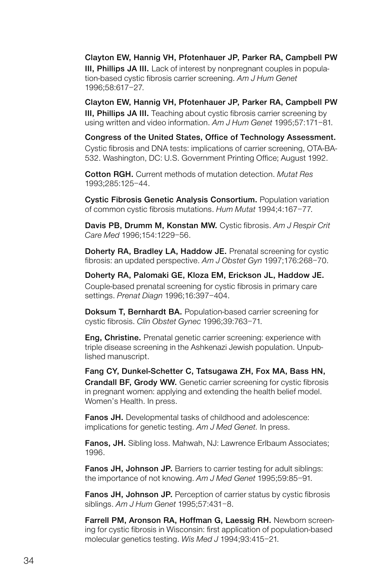Clayton EW, Hannig VH, Pfotenhauer JP, Parker RA, Campbell PW III, Phillips JA III. Lack of interest by nonpregnant couples in population-based cystic fibrosis carrier screening. Am J Hum Genet 1996;58:617–27.

Clayton EW, Hannig VH, Pfotenhauer JP, Parker RA, Campbell PW III, Phillips JA III. Teaching about cystic fibrosis carrier screening by using written and video information. Am J Hum Genet 1995;57:171-81.

Congress of the United States, Office of Technology Assessment. Cystic fibrosis and DNA tests: implications of carrier screening, OTA-BA-532. Washington, DC: U.S. Government Printing Office; August 1992.

Cotton RGH. Current methods of mutation detection. Mutat Res 1993;285:125–44.

Cystic Fibrosis Genetic Analysis Consortium. Population variation of common cystic fibrosis mutations. Hum Mutat 1994;4:167–77.

Davis PB, Drumm M, Konstan MW. Cystic fibrosis. Am J Respir Crit Care Med 1996;154:1229–56.

Doherty RA, Bradley LA, Haddow JE. Prenatal screening for cystic fibrosis: an updated perspective. Am J Obstet Gyn 1997;176:268–70.

Doherty RA, Palomaki GE, Kloza EM, Erickson JL, Haddow JE. Couple-based prenatal screening for cystic fibrosis in primary care settings. Prenat Diagn 1996;16:397–404.

Doksum T, Bernhardt BA. Population-based carrier screening for cystic fibrosis. Clin Obstet Gynec 1996;39:763–71.

Eng, Christine. Prenatal genetic carrier screening: experience with triple disease screening in the Ashkenazi Jewish population. Unpublished manuscript.

Fang CY, Dunkel-Schetter C, Tatsugawa ZH, Fox MA, Bass HN, Crandall BF, Grody WW. Genetic carrier screening for cystic fibrosis in pregnant women: applying and extending the health belief model. Women's Health. In press.

Fanos JH. Developmental tasks of childhood and adolescence: implications for genetic testing. Am J Med Genet. In press.

Fanos, JH. Sibling loss. Mahwah, NJ: Lawrence Erlbaum Associates; 1996.

Fanos JH, Johnson JP. Barriers to carrier testing for adult siblings: the importance of not knowing. Am J Med Genet 1995;59:85–91.

Fanos JH, Johnson JP. Perception of carrier status by cystic fibrosis siblings. Am J Hum Genet 1995;57:431–8.

Farrell PM, Aronson RA, Hoffman G, Laessig RH. Newborn screening for cystic fibrosis in Wisconsin: first application of population-based molecular genetics testing. Wis Med J 1994;93:415–21.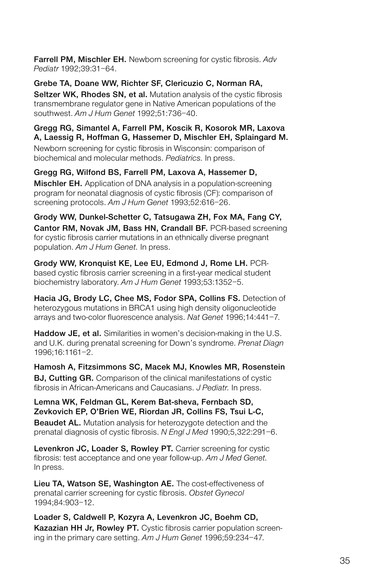**Farrell PM, Mischler EH.** Newborn screening for cystic fibrosis. Adv Pediatr 1992;39:31–64.

Grebe TA, Doane WW, Richter SF, Clericuzio C, Norman RA, Seltzer WK, Rhodes SN, et al. Mutation analysis of the cystic fibrosis transmembrane regulator gene in Native American populations of the southwest. Am J Hum Genet 1992;51:736–40.

Gregg RG, Simantel A, Farrell PM, Koscik R, Kosorok MR, Laxova A, Laessig R, Hoffman G, Hassemer D, Mischler EH, Splaingard M. Newborn screening for cystic fibrosis in Wisconsin: comparison of biochemical and molecular methods. Pediatrics. In press.

Gregg RG, Wilfond BS, Farrell PM, Laxova A, Hassemer D, Mischler EH. Application of DNA analysis in a population-screening program for neonatal diagnosis of cystic fibrosis (CF): comparison of screening protocols. Am J Hum Genet 1993;52:616-26.

Grody WW, Dunkel-Schetter C, Tatsugawa ZH, Fox MA, Fang CY, Cantor RM, Novak JM, Bass HN, Crandall BF. PCR-based screening for cystic fibrosis carrier mutations in an ethnically diverse pregnant population. Am J Hum Genet. In press.

Grody WW, Kronquist KE, Lee EU, Edmond J, Rome LH. PCRbased cystic fibrosis carrier screening in a first-year medical student biochemistry laboratory. Am J Hum Genet 1993;53:1352–5.

Hacia JG, Brody LC, Chee MS, Fodor SPA, Collins FS. Detection of heterozygous mutations in BRCA1 using high density oligonucleotide arrays and two-color fluorescence analysis. Nat Genet 1996;14:441–7.

Haddow JE, et al. Similarities in women's decision-making in the U.S. and U.K. during prenatal screening for Down's syndrome. Prenat Diagn 1996;16:1161–2.

Hamosh A, Fitzsimmons SC, Macek MJ, Knowles MR, Rosenstein **BJ, Cutting GR.** Comparison of the clinical manifestations of cystic fibrosis in African-Americans and Caucasians. J Pediatr. In press.

#### Lemna WK, Feldman GL, Kerem Bat-sheva, Fernbach SD, Zevkovich EP, O'Brien WE, Riordan JR, Collins FS, Tsui L-C,

**Beaudet AL.** Mutation analysis for heterozygote detection and the prenatal diagnosis of cystic fibrosis. N Engl J Med 1990;5,322:291–6.

Levenkron JC, Loader S, Rowley PT, Carrier screening for cystic fibrosis: test acceptance and one year follow-up. Am J Med Genet. In press.

Lieu TA, Watson SE, Washington AE. The cost-effectiveness of prenatal carrier screening for cystic fibrosis. Obstet Gynecol 1994;84:903–12.

#### Loader S, Caldwell P, Kozyra A, Levenkron JC, Boehm CD, Kazazian HH Jr, Rowley PT. Cystic fibrosis carrier population screening in the primary care setting. Am J Hum Genet 1996;59:234–47.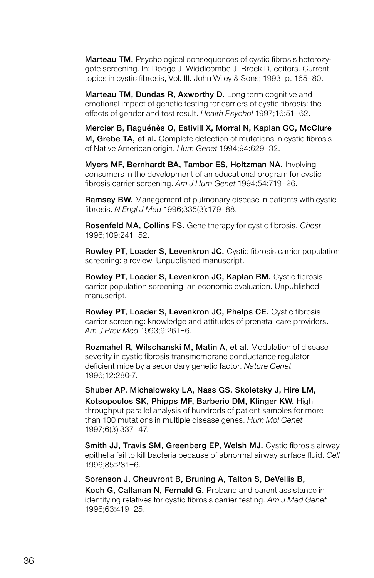Marteau TM. Psychological consequences of cystic fibrosis heterozygote screening. In: Dodge J, Widdicombe J, Brock D, editors. Current topics in cystic fibrosis, Vol. III. John Wiley & Sons; 1993. p. 165–80.

Marteau TM, Dundas R, Axworthy D. Long term cognitive and emotional impact of genetic testing for carriers of cystic fibrosis: the effects of gender and test result. Health Psychol 1997;16:51–62.

Mercier B, Raguénès O, Estivill X, Morral N, Kaplan GC, McClure M, Grebe TA, et al. Complete detection of mutations in cystic fibrosis of Native American origin. Hum Genet 1994;94:629–32.

Myers MF, Bernhardt BA, Tambor ES, Holtzman NA. Involving consumers in the development of an educational program for cystic fibrosis carrier screening. Am J Hum Genet 1994;54:719–26.

**Ramsey BW.** Management of pulmonary disease in patients with cystic fibrosis. N Engl J Med 1996;335(3):179–88.

Rosenfeld MA, Collins FS. Gene therapy for cystic fibrosis. Chest 1996;109:241–52.

Rowley PT, Loader S, Levenkron JC. Cystic fibrosis carrier population screening: a review. Unpublished manuscript.

Rowley PT, Loader S, Levenkron JC, Kaplan RM. Cystic fibrosis carrier population screening: an economic evaluation. Unpublished manuscript.

Rowley PT, Loader S, Levenkron JC, Phelps CE. Cystic fibrosis carrier screening: knowledge and attitudes of prenatal care providers. Am J Prev Med 1993;9:261–6.

Rozmahel R, Wilschanski M, Matin A, et al. Modulation of disease severity in cystic fibrosis transmembrane conductance regulator deficient mice by a secondary genetic factor. Nature Genet 1996;12:280-7.

Shuber AP, Michalowsky LA, Nass GS, Skoletsky J, Hire LM, Kotsopoulos SK, Phipps MF, Barberio DM, Klinger KW. High throughput parallel analysis of hundreds of patient samples for more than 100 mutations in multiple disease genes. Hum Mol Genet 1997;6(3):337–47.

Smith JJ, Travis SM, Greenberg EP, Welsh MJ. Cystic fibrosis airway epithelia fail to kill bacteria because of abnormal airway surface fluid. Cell 1996;85:231–6.

Sorenson J, Cheuvront B, Bruning A, Talton S, DeVellis B, Koch G, Callanan N, Fernald G. Proband and parent assistance in identifying relatives for cystic fibrosis carrier testing. Am J Med Genet 1996;63:419–25.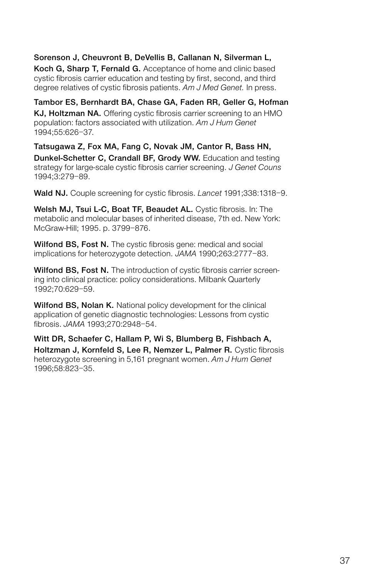Sorenson J, Cheuvront B, DeVellis B, Callanan N, Silverman L,

Koch G, Sharp T, Fernald G. Acceptance of home and clinic based cystic fibrosis carrier education and testing by first, second, and third degree relatives of cystic fibrosis patients. Am J Med Genet. In press.

Tambor ES, Bernhardt BA, Chase GA, Faden RR, Geller G, Hofman

KJ, Holtzman NA. Offering cystic fibrosis carrier screening to an HMO population: factors associated with utilization. Am J Hum Genet 1994;55:626–37.

Tatsugawa Z, Fox MA, Fang C, Novak JM, Cantor R, Bass HN, Dunkel-Schetter C, Crandall BF, Grody WW. Education and testing strategy for large-scale cystic fibrosis carrier screening. J Genet Couns 1994;3:279–89.

Wald NJ. Couple screening for cystic fibrosis. Lancet 1991;338:1318-9.

Welsh MJ, Tsui L-C, Boat TF, Beaudet AL. Cystic fibrosis. In: The metabolic and molecular bases of inherited disease, 7th ed. New York: McGraw-Hill; 1995. p. 3799–876.

Wilfond BS, Fost N. The cystic fibrosis gene: medical and social implications for heterozygote detection. JAMA 1990;263:2777–83.

Wilfond BS, Fost N. The introduction of cystic fibrosis carrier screening into clinical practice: policy considerations. Milbank Quarterly 1992;70:629–59.

Wilfond BS, Nolan K. National policy development for the clinical application of genetic diagnostic technologies: Lessons from cystic fibrosis. JAMA 1993;270:2948–54.

Witt DR, Schaefer C, Hallam P, Wi S, Blumberg B, Fishbach A, Holtzman J, Kornfeld S, Lee R, Nemzer L, Palmer R. Cystic fibrosis heterozygote screening in 5,161 pregnant women. Am J Hum Genet 1996;58:823–35.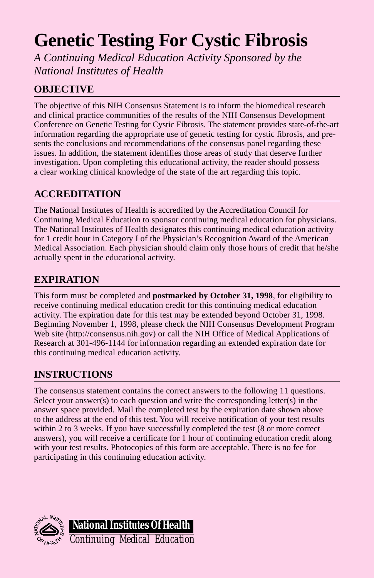# **Genetic Testing For Cystic Fibrosis**

*A Continuing Medical Education Activity Sponsored by the National Institutes of Health* 

### **OBJECTIVE**

The objective of this NIH Consensus Statement is to inform the biomedical research and clinical practice communities of the results of the NIH Consensus Development Conference on Genetic Testing for Cystic Fibrosis. The statement provides state-of-the-art information regarding the appropriate use of genetic testing for cystic fibrosis, and presents the conclusions and recommendations of the consensus panel regarding these issues. In addition, the statement identifies those areas of study that deserve further investigation. Upon completing this educational activity, the reader should possess a clear working clinical knowledge of the state of the art regarding this topic.

### **ACCREDITATION**

The National Institutes of Health is accredited by the Accreditation Council for Continuing Medical Education to sponsor continuing medical education for physicians. The National Institutes of Health designates this continuing medical education activity for 1 credit hour in Category I of the Physician's Recognition Award of the American Medical Association. Each physician should claim only those hours of credit that he/she actually spent in the educational activity.

### **EXPIRATION**

This form must be completed and **postmarked by October 31, 1998**, for eligibility to receive continuing medical education credit for this continuing medical education activity. The expiration date for this test may be extended beyond October 31, 1998. Beginning November 1, 1998, please check the NIH Consensus Development Program Web site (http://consensus.nih.gov) or call the NIH Office of Medical Applications of Research at 301-496-1144 for information regarding an extended expiration date for this continuing medical education activity.

### **INSTRUCTIONS**

The consensus statement contains the correct answers to the following 11 questions. Select your answer(s) to each question and write the corresponding letter(s) in the answer space provided. Mail the completed test by the expiration date shown above to the address at the end of this test. You will receive notification of your test results within 2 to 3 weeks. If you have successfully completed the test (8 or more correct answers), you will receive a certificate for 1 hour of continuing education credit along with your test results. Photocopies of this form are acceptable. There is no fee for participating in this continuing education activity.

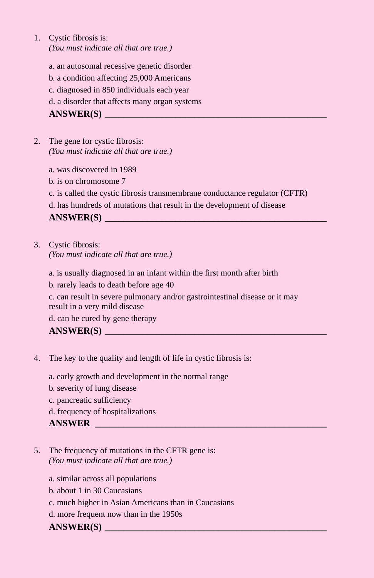- 1. Cystic fibrosis is: *(You must indicate all that are true.)* 
	- a. an autosomal recessive genetic disorder
	- b. a condition affecting 25,000 Americans
	- c. diagnosed in 850 individuals each year
	- d. a disorder that affects many organ systems

#### **ANSWER(S) \_\_\_\_\_\_\_\_\_\_\_\_\_\_\_\_\_\_\_\_\_\_\_\_\_\_\_\_\_\_\_\_\_\_\_\_\_\_\_\_\_\_\_\_\_\_\_**

- 2. The gene for cystic fibrosis: *(You must indicate all that are true.)* 
	- a. was discovered in 1989
	- b. is on chromosome 7
	- c. is called the cystic fibrosis transmembrane conductance regulator (CFTR)
	- d. has hundreds of mutations that result in the development of disease

#### **ANSWER(S) \_\_\_\_\_\_\_\_\_\_\_\_\_\_\_\_\_\_\_\_\_\_\_\_\_\_\_\_\_\_\_\_\_\_\_\_\_\_\_\_\_\_\_\_\_\_\_**

- 3. Cystic fibrosis: *(You must indicate all that are true.)* 
	- a. is usually diagnosed in an infant within the first month after birth
	- b. rarely leads to death before age 40
	- c. can result in severe pulmonary and/or gastrointestinal disease or it may result in a very mild disease
	- d. can be cured by gene therapy

#### **ANSWER(S) \_\_\_\_\_\_\_\_\_\_\_\_\_\_\_\_\_\_\_\_\_\_\_\_\_\_\_\_\_\_\_\_\_\_\_\_\_\_\_\_\_\_\_\_\_\_\_**

- 4. The key to the quality and length of life in cystic fibrosis is:
	- a. early growth and development in the normal range
	- b. severity of lung disease
	- c. pancreatic sufficiency
	- d. frequency of hospitalizations

#### **ANSWER \_\_\_\_\_\_\_\_\_\_\_\_\_\_\_\_\_\_\_\_\_\_\_\_\_\_\_\_\_\_\_\_\_\_\_\_\_\_\_\_\_\_\_\_\_\_\_\_\_**

- 5. The frequency of mutations in the CFTR gene is: *(You must indicate all that are true.)* 
	- a. similar across all populations
	- b. about 1 in 30 Caucasians
	- c. much higher in Asian Americans than in Caucasians
	- d. more frequent now than in the 1950s

#### **ANSWER(S) \_\_\_\_\_\_\_\_\_\_\_\_\_\_\_\_\_\_\_\_\_\_\_\_\_\_\_\_\_\_\_\_\_\_\_\_\_\_\_\_\_\_\_\_\_\_\_**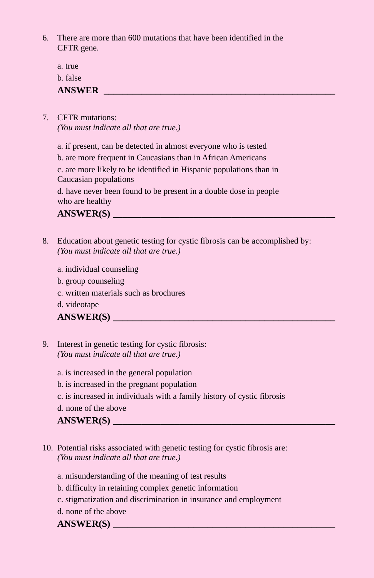6. There are more than 600 mutations that have been identified in the CFTR gene.

| a. true       |  |  |  |
|---------------|--|--|--|
| b. false      |  |  |  |
| <b>ANSWER</b> |  |  |  |

7. CFTR mutations: *(You must indicate all that are true.)* 

a. if present, can be detected in almost everyone who is tested

b. are more frequent in Caucasians than in African Americans

c. are more likely to be identified in Hispanic populations than in Caucasian populations

d. have never been found to be present in a double dose in people who are healthy

#### **ANSWER(S) \_\_\_\_\_\_\_\_\_\_\_\_\_\_\_\_\_\_\_\_\_\_\_\_\_\_\_\_\_\_\_\_\_\_\_\_\_\_\_\_\_\_\_\_\_\_\_**

- 8. Education about genetic testing for cystic fibrosis can be accomplished by: *(You must indicate all that are true.)* 
	- a. individual counseling
	- b. group counseling
	- c. written materials such as brochures
	- d. videotape

#### **ANSWER(S) \_\_\_\_\_\_\_\_\_\_\_\_\_\_\_\_\_\_\_\_\_\_\_\_\_\_\_\_\_\_\_\_\_\_\_\_\_\_\_\_\_\_\_\_\_\_\_**

- 9. Interest in genetic testing for cystic fibrosis: *(You must indicate all that are true.)* 
	- a. is increased in the general population
	- b. is increased in the pregnant population
	- c. is increased in individuals with a family history of cystic fibrosis

#### d. none of the above

#### **ANSWER(S) \_\_\_\_\_\_\_\_\_\_\_\_\_\_\_\_\_\_\_\_\_\_\_\_\_\_\_\_\_\_\_\_\_\_\_\_\_\_\_\_\_\_\_\_\_\_\_**

- 10. Potential risks associated with genetic testing for cystic fibrosis are: *(You must indicate all that are true.)* 
	- a. misunderstanding of the meaning of test results
	- b. difficulty in retaining complex genetic information
	- c. stigmatization and discrimination in insurance and employment
	- d. none of the above

#### **ANSWER(S) \_\_\_\_\_\_\_\_\_\_\_\_\_\_\_\_\_\_\_\_\_\_\_\_\_\_\_\_\_\_\_\_\_\_\_\_\_\_\_\_\_\_\_\_\_\_\_**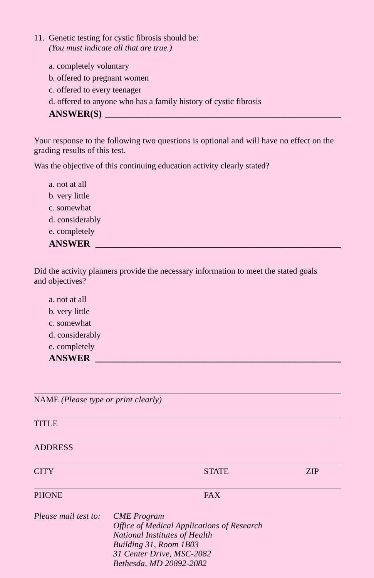- 11. Genetic testing for cystic fibrosis should be: *(You must indicate all that are true.)* 
	- a. completely voluntary
	- b. offered to pregnant women
	- c. offered to every teenager
	- d. offered to anyone who has a family history of cystic fibrosis

| <b>ANSWER(S)</b> |  |
|------------------|--|
|                  |  |

Your response to the following two questions is optional and will have no effect on the grading results of this test.

Was the objective of this continuing education activity clearly stated?

a. not at all b. very little c. somewhat d. considerably e. completely **ANSWER \_\_\_\_\_\_\_\_\_\_\_\_\_\_\_\_\_\_\_\_\_\_\_\_\_\_\_\_\_\_\_\_\_\_\_\_\_\_\_\_\_\_\_\_\_\_\_\_\_\_\_\_** 

Did the activity planners provide the necessary information to meet the stated goals and objectives?

- a. not at all b. very little c. somewhat
- d. considerably
- e. completely

**ANSWER \_\_\_\_\_\_\_\_\_\_\_\_\_\_\_\_\_\_\_\_\_\_\_\_\_\_\_\_\_\_\_\_\_\_\_\_\_\_\_\_\_\_\_\_\_\_\_\_\_\_\_\_** 

| NAME (Please type or print clearly) |                                                                                                                                                                                     |            |
|-------------------------------------|-------------------------------------------------------------------------------------------------------------------------------------------------------------------------------------|------------|
| TITLE                               |                                                                                                                                                                                     |            |
| ADDRESS                             |                                                                                                                                                                                     |            |
| CITY                                | <b>STATE</b>                                                                                                                                                                        | <b>ZIP</b> |
| PHONE                               | <b>FAX</b>                                                                                                                                                                          |            |
| Please mail test to:                | <b>CME</b> Program<br>Office of Medical Applications of Research<br>National Institutes of Health<br>Building 31, Room 1B03<br>31 Center Drive, MSC-2082<br>Bethesda, MD 20892-2082 |            |